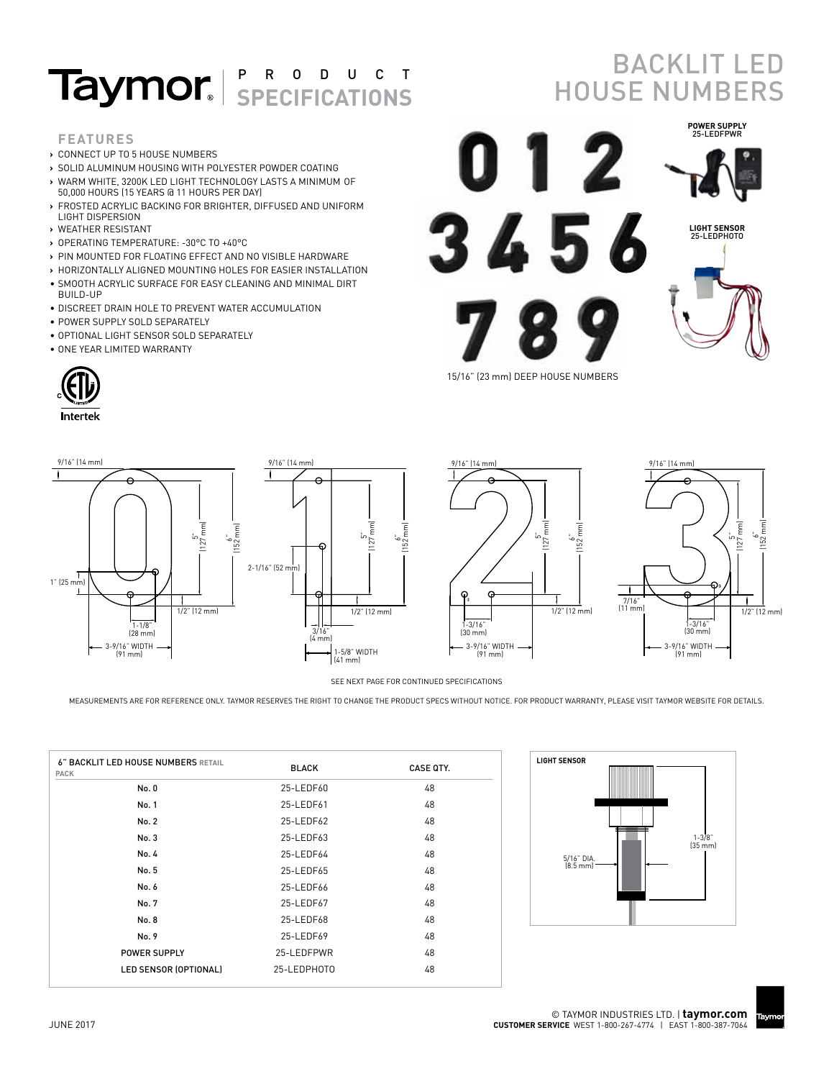## **Taymor.** SPECIFICATIONS

**›** SOLID ALUMINUM HOUSING WITH POLYESTER POWDER COATING **›** WARM WHITE, 3200K LED LIGHT TECHNOLOGY LASTS A MINIMUM OF

**›** FROSTED ACRYLIC BACKING FOR BRIGHTER, DIFFUSED AND UNIFORM

**›** PIN MOUNTED FOR FLOATING EFFECT AND NO VISIBLE HARDWARE **›** HORIZONTALLY ALIGNED MOUNTING HOLES FOR EASIER INSTALLATION • SMOOTH ACRYLIC SURFACE FOR EASY CLEANING AND MINIMAL DIRT

• DISCREET DRAIN HOLE TO PREVENT WATER ACCUMULATION

## **BACKLIT LED** HOUSE NUMBERS



15/16" (23 mm) DEEP HOUSE NUMBERS



BUILD-UP

**FEATURES**

LIGHT DISPERSION **›** WEATHER RESISTANT

**›** CONNECT UP TO 5 HOUSE NUMBERS

50,000 HOURS (15 YEARS @ 11 HOURS PER DAY)

**›** OPERATING TEMPERATURE: -30°C TO +40°C

• POWER SUPPLY SOLD SEPARATELY • OPTIONAL LIGHT SENSOR SOLD SEPARATELY

• ONE YEAR LIMITED WARRANTY







SEE NEXT PAGE FOR CONTINUED SPECIFICATIONS

MEASUREMENTS ARE FOR REFERENCE ONLY. TAYMOR RESERVES THE RIGHT TO CHANGE THE PRODUCT SPECS WITHOUT NOTICE. FOR PRODUCT WARRANTY, PLEASE VISIT TAYMOR WEBSITE FOR DETAILS.

| 6" BACKLIT LED HOUSE NUMBERS RETAIL<br><b>PACK</b> | <b>BLACK</b> | <b>CASE QTY.</b> |
|----------------------------------------------------|--------------|------------------|
| No. 0                                              | 25-LEDF60    | 48               |
| No. 1                                              | 25-LEDF61    | 48               |
| No. 2                                              | 25-LEDF62    | 48               |
| No. 3                                              | 25-LEDF63    | 48               |
| No. 4                                              | 25-LEDF64    | 48               |
| No. 5                                              | 25-LEDF65    | 48               |
| No. 6                                              | 25-LEDF66    | 48               |
| No. 7                                              | 25-LEDF67    | 48               |
| No. 8                                              | 25-LEDF68    | 48               |
| No. 9                                              | 25-LEDF69    | 48               |
| POWER SUPPLY                                       | 25-LEDFPWR   | 48               |
| LED SENSOR (OPTIONAL)                              | 25-LEDPHOTO  | 48               |



Taymor